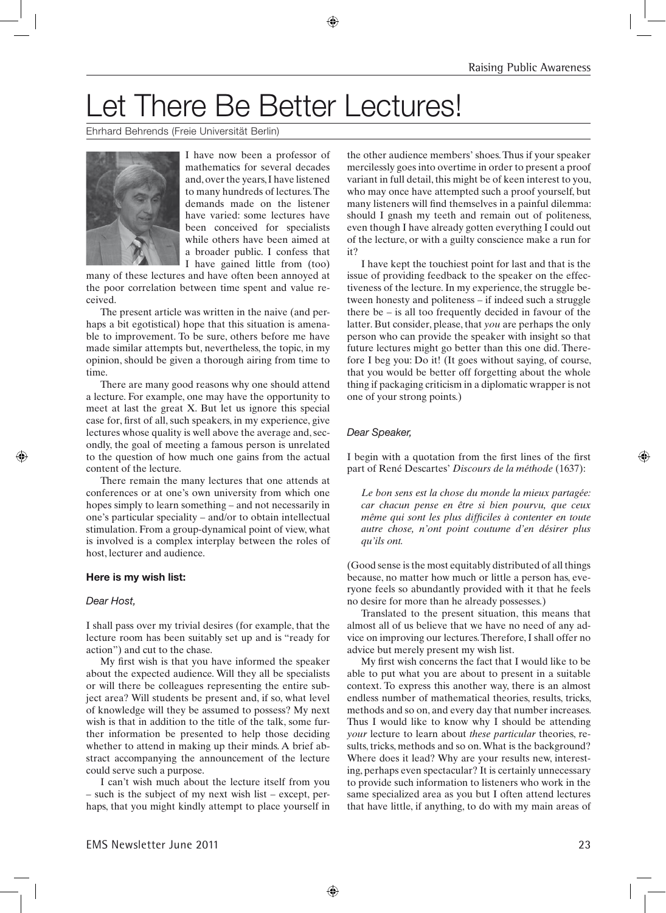# Let There Be Better Lectures!

⊕

Ehrhard Behrends (Freie Universität Berlin)



I have now been a professor of mathematics for several decades and, over the years, I have listened to many hundreds of lectures. The demands made on the listener have varied: some lectures have been conceived for specialists while others have been aimed at a broader public. I confess that I have gained little from (too)

many of these lectures and have often been annoyed at the poor correlation between time spent and value received.

The present article was written in the naive (and perhaps a bit egotistical) hope that this situation is amenable to improvement. To be sure, others before me have made similar attempts but, nevertheless, the topic, in my opinion, should be given a thorough airing from time to time.

There are many good reasons why one should attend a lecture. For example, one may have the opportunity to meet at last the great X. But let us ignore this special case for, first of all, such speakers, in my experience, give lectures whose quality is well above the average and, secondly, the goal of meeting a famous person is unrelated to the question of how much one gains from the actual content of the lecture.

There remain the many lectures that one attends at conferences or at one's own university from which one hopes simply to learn something – and not necessarily in one's particular speciality – and/or to obtain intellectual stimulation. From a group-dynamical point of view, what is involved is a complex interplay between the roles of host, lecturer and audience.

#### **Here is my wish list:**

#### *Dear Host,*

⊕

I shall pass over my trivial desires (for example, that the lecture room has been suitably set up and is "ready for action") and cut to the chase.

My first wish is that you have informed the speaker about the expected audience. Will they all be specialists or will there be colleagues representing the entire subject area? Will students be present and, if so, what level of knowledge will they be assumed to possess? My next wish is that in addition to the title of the talk, some further information be presented to help those deciding whether to attend in making up their minds. A brief abstract accompanying the announcement of the lecture could serve such a purpose.

I can't wish much about the lecture itself from you – such is the subject of my next wish list – except, perhaps, that you might kindly attempt to place yourself in the other audience members' shoes. Thus if your speaker mercilessly goes into overtime in order to present a proof variant in full detail, this might be of keen interest to you, who may once have attempted such a proof yourself, but many listeners will find themselves in a painful dilemma: should I gnash my teeth and remain out of politeness, even though I have already gotten everything I could out of the lecture, or with a guilty conscience make a run for it?

I have kept the touchiest point for last and that is the issue of providing feedback to the speaker on the effectiveness of the lecture. In my experience, the struggle between honesty and politeness – if indeed such a struggle there be – is all too frequently decided in favour of the latter. But consider, please, that *you* are perhaps the only person who can provide the speaker with insight so that future lectures might go better than this one did. Therefore I beg you: Do it! (It goes without saying, of course, that you would be better off forgetting about the whole thing if packaging criticism in a diplomatic wrapper is not one of your strong points.)

### *Dear Speaker,*

I begin with a quotation from the first lines of the first part of René Descartes' *Discours de la méthode* (1637):

*Le bon sens est la chose du monde la mieux partagée: car chacun pense en être si bien pourvu, que ceux même qui sont les plus difficiles à contenter en toute autre chose, n'ont point coutume d'en désirer plus qu'ils ont.*

(Good sense is the most equitably distributed of all things because, no matter how much or little a person has, everyone feels so abundantly provided with it that he feels no desire for more than he already possesses.)

Translated to the present situation, this means that almost all of us believe that we have no need of any advice on improving our lectures. Therefore, I shall offer no advice but merely present my wish list.

My first wish concerns the fact that I would like to be able to put what you are about to present in a suitable context. To express this another way, there is an almost endless number of mathematical theories, results, tricks, methods and so on, and every day that number increases. Thus I would like to know why I should be attending *your* lecture to learn about *these particular* theories, results, tricks, methods and so on. What is the background? Where does it lead? Why are your results new, interesting, perhaps even spectacular? It is certainly unnecessary to provide such information to listeners who work in the same specialized area as you but I often attend lectures that have little, if anything, to do with my main areas of

◈